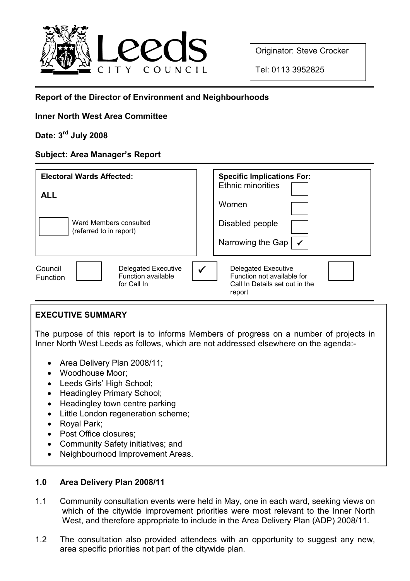

Originator: Steve Crocker

Tel: 0113 3952825

# Report of the Director of Environment and Neighbourhoods

# Inner North West Area Committee

# Date: 3rd July 2008

# Subject: Area Manager's Report

| <b>Electoral Wards Affected:</b><br><b>ALL</b><br>Ward Members consulted<br>(referred to in report) | <b>Specific Implications For:</b><br><b>Ethnic minorities</b><br>Women<br>Disabled people<br>Narrowing the Gap<br>$\checkmark$ |
|-----------------------------------------------------------------------------------------------------|--------------------------------------------------------------------------------------------------------------------------------|
| Council                                                                                             | $\checkmark$                                                                                                                   |
| <b>Delegated Executive</b>                                                                          | <b>Delegated Executive</b>                                                                                                     |
| <b>Function available</b>                                                                           | Function not available for                                                                                                     |
| Function                                                                                            | Call In Details set out in the                                                                                                 |
| for Call In                                                                                         | report                                                                                                                         |

# EXECUTIVE SUMMARY

The purpose of this report is to informs Members of progress on a number of projects in Inner North West Leeds as follows, which are not addressed elsewhere on the agenda:-

- Area Delivery Plan 2008/11;
- Woodhouse Moor;
- Leeds Girls' High School;
- Headingley Primary School;
- Headingley town centre parking
- Little London regeneration scheme;
- Royal Park;
- Post Office closures;
- Community Safety initiatives; and
- Neighbourhood Improvement Areas.

# 1.0 Area Delivery Plan 2008/11

- 1.1 Community consultation events were held in May, one in each ward, seeking views on which of the citywide improvement priorities were most relevant to the Inner North West, and therefore appropriate to include in the Area Delivery Plan (ADP) 2008/11.
- 1.2 The consultation also provided attendees with an opportunity to suggest any new, area specific priorities not part of the citywide plan.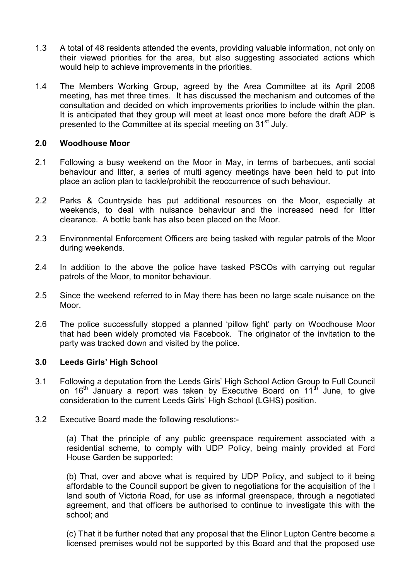- 1.3 A total of 48 residents attended the events, providing valuable information, not only on their viewed priorities for the area, but also suggesting associated actions which would help to achieve improvements in the priorities.
- 1.4 The Members Working Group, agreed by the Area Committee at its April 2008 meeting, has met three times. It has discussed the mechanism and outcomes of the consultation and decided on which improvements priorities to include within the plan. It is anticipated that they group will meet at least once more before the draft ADP is presented to the Committee at its special meeting on 31<sup>st</sup> July.

#### 2.0 Woodhouse Moor

- 2.1 Following a busy weekend on the Moor in May, in terms of barbecues, anti social behaviour and litter, a series of multi agency meetings have been held to put into place an action plan to tackle/prohibit the reoccurrence of such behaviour.
- 2.2 Parks & Countryside has put additional resources on the Moor, especially at weekends, to deal with nuisance behaviour and the increased need for litter clearance. A bottle bank has also been placed on the Moor.
- 2.3 Environmental Enforcement Officers are being tasked with regular patrols of the Moor during weekends.
- 2.4 In addition to the above the police have tasked PSCOs with carrying out regular patrols of the Moor, to monitor behaviour.
- 2.5 Since the weekend referred to in May there has been no large scale nuisance on the Moor.
- 2.6 The police successfully stopped a planned 'pillow fight' party on Woodhouse Moor that had been widely promoted via Facebook. The originator of the invitation to the party was tracked down and visited by the police.

## 3.0 Leeds Girls' High School

- 3.1 Following a deputation from the Leeds Girls' High School Action Group to Full Council on 16<sup>th</sup> January a report was taken by Executive Board on 11<sup>th</sup> June, to give consideration to the current Leeds Girls' High School (LGHS) position.
- 3.2 Executive Board made the following resolutions:-

 (a) That the principle of any public greenspace requirement associated with a residential scheme, to comply with UDP Policy, being mainly provided at Ford House Garden be supported;

 (b) That, over and above what is required by UDP Policy, and subject to it being affordable to the Council support be given to negotiations for the acquisition of the l land south of Victoria Road, for use as informal greenspace, through a negotiated agreement, and that officers be authorised to continue to investigate this with the school; and

 (c) That it be further noted that any proposal that the Elinor Lupton Centre become a licensed premises would not be supported by this Board and that the proposed use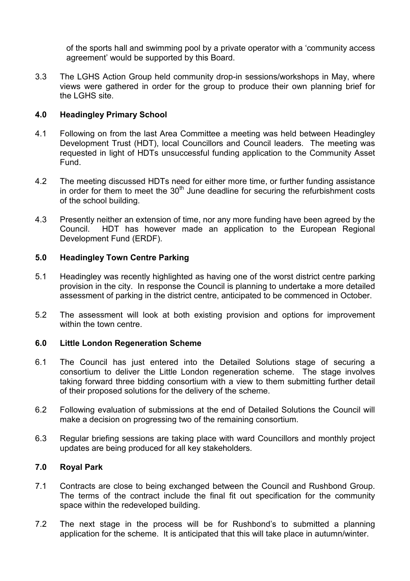of the sports hall and swimming pool by a private operator with a 'community access agreement' would be supported by this Board.

3.3 The LGHS Action Group held community drop-in sessions/workshops in May, where views were gathered in order for the group to produce their own planning brief for the LGHS site.

## 4.0 Headingley Primary School

- 4.1 Following on from the last Area Committee a meeting was held between Headingley Development Trust (HDT), local Councillors and Council leaders. The meeting was requested in light of HDTs unsuccessful funding application to the Community Asset Fund.
- 4.2 The meeting discussed HDTs need for either more time, or further funding assistance in order for them to meet the  $30<sup>th</sup>$  June deadline for securing the refurbishment costs of the school building.
- 4.3 Presently neither an extension of time, nor any more funding have been agreed by the Council. HDT has however made an application to the European Regional Development Fund (ERDF).

## 5.0 Headingley Town Centre Parking

- 5.1 Headingley was recently highlighted as having one of the worst district centre parking provision in the city. In response the Council is planning to undertake a more detailed assessment of parking in the district centre, anticipated to be commenced in October.
- 5.2 The assessment will look at both existing provision and options for improvement within the town centre

# 6.0 Little London Regeneration Scheme

- 6.1 The Council has just entered into the Detailed Solutions stage of securing a consortium to deliver the Little London regeneration scheme. The stage involves taking forward three bidding consortium with a view to them submitting further detail of their proposed solutions for the delivery of the scheme.
- 6.2 Following evaluation of submissions at the end of Detailed Solutions the Council will make a decision on progressing two of the remaining consortium.
- 6.3 Regular briefing sessions are taking place with ward Councillors and monthly project updates are being produced for all key stakeholders.

## 7.0 Royal Park

- 7.1 Contracts are close to being exchanged between the Council and Rushbond Group. The terms of the contract include the final fit out specification for the community space within the redeveloped building.
- 7.2 The next stage in the process will be for Rushbond's to submitted a planning application for the scheme. It is anticipated that this will take place in autumn/winter.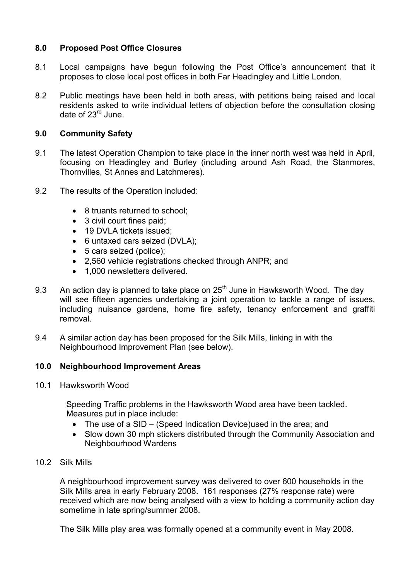## 8.0 Proposed Post Office Closures

- 8.1 Local campaigns have begun following the Post Office's announcement that it proposes to close local post offices in both Far Headingley and Little London.
- 8.2 Public meetings have been held in both areas, with petitions being raised and local residents asked to write individual letters of objection before the consultation closing date of 23<sup>rd</sup> June.

## 9.0 Community Safety

- 9.1 The latest Operation Champion to take place in the inner north west was held in April, focusing on Headingley and Burley (including around Ash Road, the Stanmores, Thornvilles, St Annes and Latchmeres).
- 9.2 The results of the Operation included:
	- 8 truants returned to school;
	- 3 civil court fines paid;
	- 19 DVLA tickets issued:
	- 6 untaxed cars seized (DVLA);
	- 5 cars seized (police);
	- 2,560 vehicle registrations checked through ANPR; and
	- 1,000 newsletters delivered.
- 9.3 An action day is planned to take place on  $25<sup>th</sup>$  June in Hawksworth Wood. The day will see fifteen agencies undertaking a joint operation to tackle a range of issues, including nuisance gardens, home fire safety, tenancy enforcement and graffiti removal.
- 9.4 A similar action day has been proposed for the Silk Mills, linking in with the Neighbourhood Improvement Plan (see below).

## 10.0 Neighbourhood Improvement Areas

10.1 Hawksworth Wood

 Speeding Traffic problems in the Hawksworth Wood area have been tackled. Measures put in place include:

- The use of a SID (Speed Indication Device) used in the area; and
- Slow down 30 mph stickers distributed through the Community Association and Neighbourhood Wardens
- 10.2 Silk Mills

 A neighbourhood improvement survey was delivered to over 600 households in the Silk Mills area in early February 2008. 161 responses (27% response rate) were received which are now being analysed with a view to holding a community action day sometime in late spring/summer 2008.

The Silk Mills play area was formally opened at a community event in May 2008.